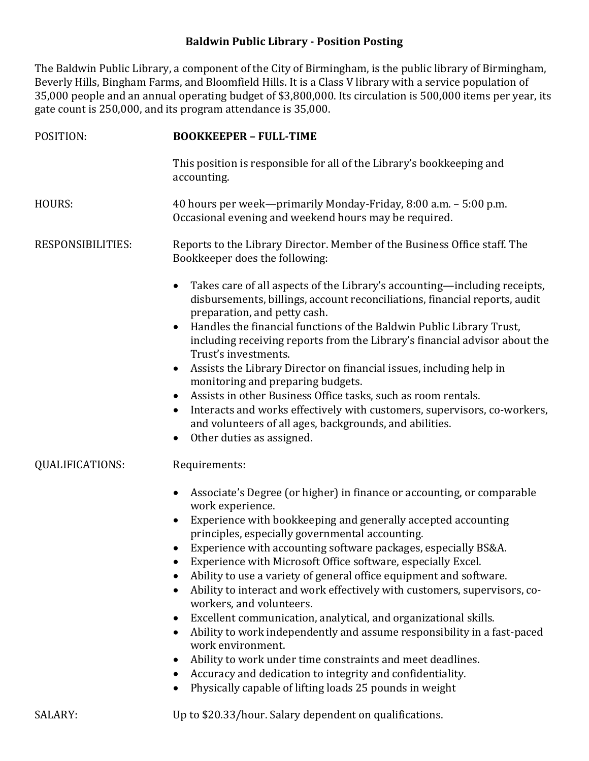## **Baldwin Public Library - Position Posting**

The Baldwin Public Library, a component of the City of Birmingham, is the public library of Birmingham, Beverly Hills, Bingham Farms, and Bloomfield Hills. It is a Class V library with a service population of 35,000 people and an annual operating budget of \$3,800,000. Its circulation is 500,000 items per year, its gate count is 250,000, and its program attendance is 35,000.

| POSITION:                                   | <b>BOOKKEEPER - FULL-TIME</b>                                                                                                                                                                                                                                                                                                                                                                                                                                                                                                                                                                                                                                                                                                                                                                                                                                                                                                                                              |
|---------------------------------------------|----------------------------------------------------------------------------------------------------------------------------------------------------------------------------------------------------------------------------------------------------------------------------------------------------------------------------------------------------------------------------------------------------------------------------------------------------------------------------------------------------------------------------------------------------------------------------------------------------------------------------------------------------------------------------------------------------------------------------------------------------------------------------------------------------------------------------------------------------------------------------------------------------------------------------------------------------------------------------|
|                                             | This position is responsible for all of the Library's bookkeeping and<br>accounting.                                                                                                                                                                                                                                                                                                                                                                                                                                                                                                                                                                                                                                                                                                                                                                                                                                                                                       |
| <b>HOURS:</b>                               | 40 hours per week—primarily Monday-Friday, 8:00 a.m. - 5:00 p.m.<br>Occasional evening and weekend hours may be required.                                                                                                                                                                                                                                                                                                                                                                                                                                                                                                                                                                                                                                                                                                                                                                                                                                                  |
| RESPONSIBILITIES:<br><b>QUALIFICATIONS:</b> | Reports to the Library Director. Member of the Business Office staff. The<br>Bookkeeper does the following:                                                                                                                                                                                                                                                                                                                                                                                                                                                                                                                                                                                                                                                                                                                                                                                                                                                                |
|                                             | Takes care of all aspects of the Library's accounting—including receipts,<br>$\bullet$<br>disbursements, billings, account reconciliations, financial reports, audit<br>preparation, and petty cash.<br>Handles the financial functions of the Baldwin Public Library Trust,<br>including receiving reports from the Library's financial advisor about the<br>Trust's investments.<br>Assists the Library Director on financial issues, including help in<br>$\bullet$<br>monitoring and preparing budgets.<br>Assists in other Business Office tasks, such as room rentals.<br>$\bullet$<br>Interacts and works effectively with customers, supervisors, co-workers,<br>$\bullet$                                                                                                                                                                                                                                                                                         |
|                                             | and volunteers of all ages, backgrounds, and abilities.<br>Other duties as assigned.<br>$\bullet$                                                                                                                                                                                                                                                                                                                                                                                                                                                                                                                                                                                                                                                                                                                                                                                                                                                                          |
|                                             | Requirements:<br>Associate's Degree (or higher) in finance or accounting, or comparable<br>$\bullet$<br>work experience.<br>Experience with bookkeeping and generally accepted accounting<br>$\bullet$<br>principles, especially governmental accounting.<br>Experience with accounting software packages, especially BS&A.<br>Experience with Microsoft Office software, especially Excel.<br>Ability to use a variety of general office equipment and software.<br>Ability to interact and work effectively with customers, supervisors, co-<br>workers, and volunteers.<br>Excellent communication, analytical, and organizational skills.<br>$\bullet$<br>Ability to work independently and assume responsibility in a fast-paced<br>$\bullet$<br>work environment.<br>Ability to work under time constraints and meet deadlines.<br>Accuracy and dedication to integrity and confidentiality.<br>Physically capable of lifting loads 25 pounds in weight<br>$\bullet$ |

SALARY: Up to \$20.33/hour. Salary dependent on qualifications.